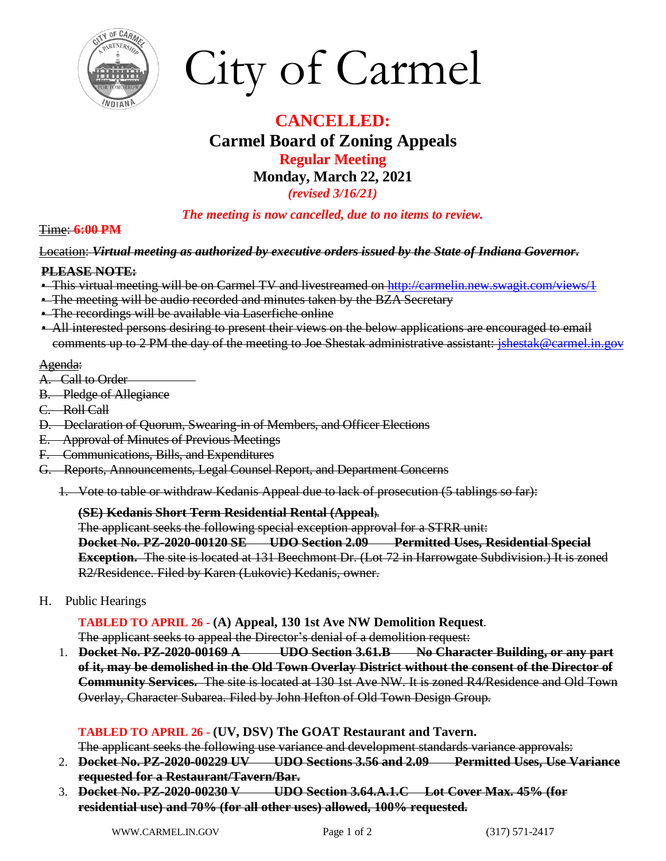



# **CANCELLED: Carmel Board of Zoning Appeals Regular Meeting Monday, March 22, 2021**

*(revised 3/16/21)*

*The meeting is now cancelled, due to no items to review.*

## Time: **6:00 PM**

#### Location: *Virtual meeting as authorized by executive orders issued by the State of Indiana Governor***.**

## **PLEASE NOTE:**

- This virtual meeting will be on Carmel TV and livestreamed on <http://carmelin.new.swagit.com/views/1>
- **•** The meeting will be audio recorded and minutes taken by the BZA Secretary
- The recordings will be available via Laserfiche online
- All interested persons desiring to present their views on the below applications are encouraged to email comments up to 2 PM the day of the meeting to Joe Shestak administrative assistant: *jshestak@carmel.in.gov*

#### Agenda:

- A. Call to Order
- B. Pledge of Allegiance
- C. Roll Call
- D. Declaration of Quorum, Swearing-in of Members, and Officer Elections
- E. Approval of Minutes of Previous Meetings
- F. Communications, Bills, and Expenditures
- G. Reports, Announcements, Legal Counsel Report, and Department Concerns
	- 1. Vote to table or withdraw Kedanis Appeal due to lack of prosecution (5 tablings so far):

## **(SE) Kedanis Short Term Residential Rental (Appeal).**

The applicant seeks the following special exception approval for a STRR unit:

**Docket No. PZ-2020-00120 SE UDO Section 2.09 Permitted Uses, Residential Special Exception.** The site is located at 131 Beechmont Dr. (Lot 72 in Harrowgate Subdivision.) It is zoned R2/Residence. Filed by Karen (Lukovic) Kedanis, owner.

H. Public Hearings

**TABLED TO APRIL 26 - (A) Appeal, 130 1st Ave NW Demolition Request.**

The applicant seeks to appeal the Director's denial of a demolition request:

1. **Docket No. PZ-2020-00169 A UDO Section 3.61.B No Character Building, or any part of it, may be demolished in the Old Town Overlay District without the consent of the Director of Community Services.** The site is located at 130 1st Ave NW. It is zoned R4/Residence and Old Town Overlay, Character Subarea. Filed by John Hefton of Old Town Design Group.

## **TABLED TO APRIL 26 - (UV, DSV) The GOAT Restaurant and Tavern.**

The applicant seeks the following use variance and development standards variance approvals:

- 2. **Docket No. PZ-2020-00229 UV UDO Sections 3.56 and 2.09 Permitted Uses, Use Variance requested for a Restaurant/Tavern/Bar.**
- 3. **Docket No. PZ-2020-00230 V UDO Section 3.64.A.1.C Lot Cover Max. 45% (for residential use) and 70% (for all other uses) allowed, 100% requested.**